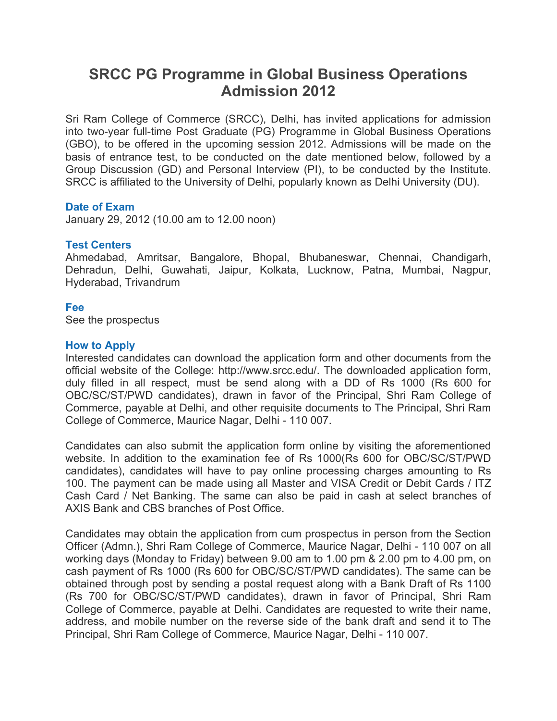# **SRCC PG Programme in Global Business Operations Admission 2012**

Sri Ram College of Commerce (SRCC), Delhi, has invited applications for admission into two-year full-time Post Graduate (PG) Programme in Global Business Operations (GBO), to be offered in the upcoming session 2012. Admissions will be made on the basis of entrance test, to be conducted on the date mentioned below, followed by a Group Discussion (GD) and Personal Interview (PI), to be conducted by the Institute. SRCC is affiliated to the University of Delhi, popularly known as Delhi University (DU).

## **Date of Exam**

January 29, 2012 (10.00 am to 12.00 noon)

## **Test Centers**

Ahmedabad, Amritsar, Bangalore, Bhopal, Bhubaneswar, Chennai, Chandigarh, Dehradun, Delhi, Guwahati, Jaipur, Kolkata, Lucknow, Patna, Mumbai, Nagpur, Hyderabad, Trivandrum

# **Fee**

See the prospectus

# **How to Apply**

Interested candidates can download the application form and other documents from the official website of the College: http://www.srcc.edu/. The downloaded application form, duly filled in all respect, must be send along with a DD of Rs 1000 (Rs 600 for OBC/SC/ST/PWD candidates), drawn in favor of the Principal, Shri Ram College of Commerce, payable at Delhi, and other requisite documents to The Principal, Shri Ram College of Commerce, Maurice Nagar, Delhi - 110 007.

Candidates can also submit the application form online by visiting the aforementioned website. In addition to the examination fee of Rs 1000(Rs 600 for OBC/SC/ST/PWD candidates), candidates will have to pay online processing charges amounting to Rs 100. The payment can be made using all Master and VISA Credit or Debit Cards / ITZ Cash Card / Net Banking. The same can also be paid in cash at select branches of AXIS Bank and CBS branches of Post Office.

Candidates may obtain the application from cum prospectus in person from the Section Officer (Admn.), Shri Ram College of Commerce, Maurice Nagar, Delhi - 110 007 on all working days (Monday to Friday) between 9.00 am to 1.00 pm & 2.00 pm to 4.00 pm, on cash payment of Rs 1000 (Rs 600 for OBC/SC/ST/PWD candidates). The same can be obtained through post by sending a postal request along with a Bank Draft of Rs 1100 (Rs 700 for OBC/SC/ST/PWD candidates), drawn in favor of Principal, Shri Ram College of Commerce, payable at Delhi. Candidates are requested to write their name, address, and mobile number on the reverse side of the bank draft and send it to The Principal, Shri Ram College of Commerce, Maurice Nagar, Delhi - 110 007.